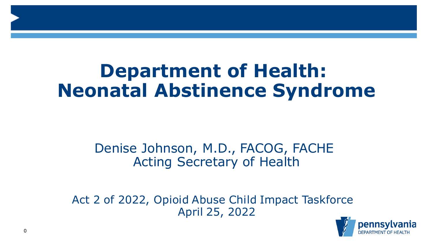# **Department of Health: Neonatal Abstinence Syndrome**

### Denise Johnson, M.D., FACOG, FACHE Acting Secretary of Health

Act 2 of 2022, Opioid Abuse Child Impact Taskforce April 25, 2022

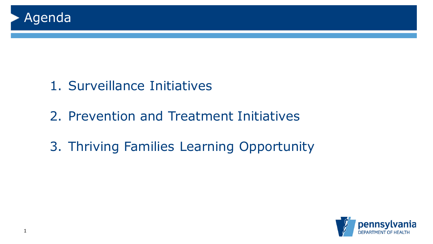

## 1. Surveillance Initiatives

- 2. Prevention and Treatment Initiatives
- 3. Thriving Families Learning Opportunity

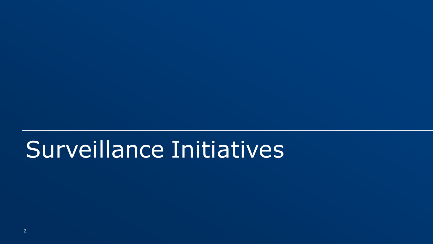# Surveillance Initiatives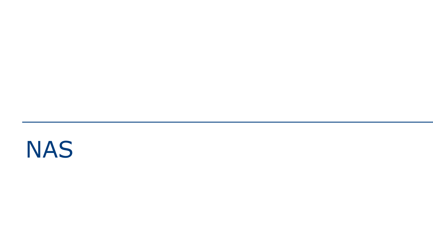# NAS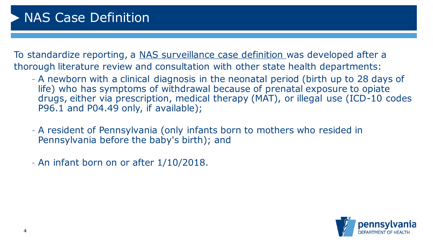To standardize reporting, a NAS surveillance case definition was developed after a thorough literature review and consultation with other state health departments:

- A newborn with a clinical diagnosis in the neonatal period (birth up to 28 days of life) who has symptoms of withdrawal because of prenatal exposure to opiate drugs, either via prescription, medical therapy (MAT), or illegal use (ICD-10 codes P96.1 and P04.49 only, if available);
- A resident of Pennsylvania (only infants born to mothers who resided in Pennsylvania before the baby's birth); and
- An infant born on or after 1/10/2018.

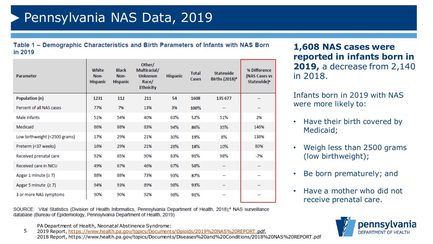Table 1 - Demographic Characteristics and Birth Parameters of Infants with NAS Born in 2019

| Parameter                     | White<br>Non-<br><b>Hispanic</b> | <b>Black</b><br>Non-<br><b>Hispanic</b> | Other/<br>Multiracial/<br><b>Unknown</b><br>Race/<br><b>Ethnicity</b> | <b>Hispanic</b> | <b>Total</b><br>Cases | <b>Statewide</b><br>Births (2018) <sup>4</sup> | % Difference<br>(NAS Cases vs<br>Statewide) <sup>a</sup> |
|-------------------------------|----------------------------------|-----------------------------------------|-----------------------------------------------------------------------|-----------------|-----------------------|------------------------------------------------|----------------------------------------------------------|
| Population (n)                | 1231                             | 112                                     | 211                                                                   | 54              | 1608                  | 135 677                                        |                                                          |
| Percent of all NAS cases      | 77%                              | 7%                                      | 13%                                                                   | 3%              | 100%                  | $\sim$                                         | --                                                       |
| Male infants                  | 51%                              | 54%                                     | 40%                                                                   | 63%             | 52%                   | 51%                                            | 2%                                                       |
| Medicaid                      | 86%                              | 88%                                     | 83%                                                                   | 94%             | 86%                   | 35%                                            | 146%                                                     |
| Low birthweight (<2500 grams) | 17%                              | 29%                                     | 21%                                                                   | 30%             | 19%                   | 8%                                             | 138%                                                     |
| Preterm (<37 weeks)           | 16%                              | 29%                                     | 21%                                                                   | 28%             | 18%                   | 10%                                            | 80%                                                      |
| Received prenatal care        | 92%                              | 85%                                     | 90%                                                                   | 83%             | 91%                   | 98%                                            | -7%                                                      |
| Received care in NICU         | 49%                              | 67%                                     | 46%                                                                   | 67%             | 50%                   | --                                             |                                                          |
| Apgar 1 minute $(27)$         | 88%                              | 88%                                     | 73%                                                                   | 93%             | 87%                   | --                                             | --                                                       |
| Apgar 5 minute $(27)$         | 94%                              | 93%                                     | 89%                                                                   | 98%             | 93%                   | --                                             | --                                                       |
| 3 or more NAS symptoms        | 90%                              | 90%                                     | 92%                                                                   | 98%             | 91%                   |                                                |                                                          |

SOURCE: Vital Statistics (Division of Health Informatics, Pennsylvania Department of Health, 2018);<sup>4</sup> NAS surveillance database (Bureau of Epidemiology, Pennsylvania Department of Health, 2019)

PA Department of Health, Neonatal Abstinence Syndrome:

5 2019 Report, [https://www.health.pa.gov/topics/Documents/Opioids/2019%20NAS%20REPORT.pdf,](https://www.health.pa.gov/topics/Documents/Opioids/2019%20NAS%20REPORT.pdf) 2018 Report, https://www.health.pa.gov/topics/Documents/Diseases%20and%20Conditions/2018%20NAS%20REPORT.pdf

**1,608 NAS cases were reported in infants born in 2019,** a decrease from 2,140 in 2018.

Infants born in 2019 with NAS were more likely to:

- Have their birth covered by Medicaid;
- Weigh less than 2500 grams (low birthweight);
- Be born prematurely; and
- Have a mother who did not receive prenatal care.

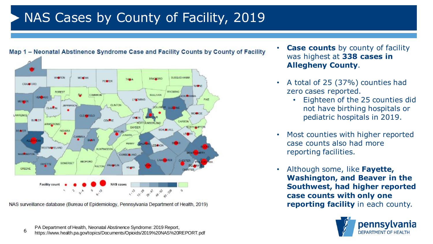## NAS Cases by County of Facility, 2019



NAS surveillance database (Bureau of Epidemiology, Pennsylvania Department of Health, 2019)

- **Case counts** by county of facility was highest at **338 cases in Allegheny County**.
- A total of 25 (37%) counties had zero cases reported.
	- Eighteen of the 25 counties did not have birthing hospitals or pediatric hospitals in 2019.
- Most counties with higher reported case counts also had more reporting facilities.
- Although some, like **Fayette, Washington, and Beaver in the Southwest, had higher reported case counts with only one reporting facility** in each county.

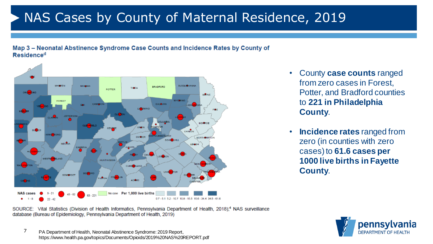## NAS Cases by County of Maternal Residence, 2019





- County **case counts** ranged from zero cases in Forest, Potter, and Bradford counties to **221 in Philadelphia County**.
- **Incidence rates** ranged from zero (in counties with zero cases) to **61.6 cases per 1000 live births in Fayette County**.

SOURCE: Vital Statistics (Division of Health Informatics, Pennsylvania Department of Health, 2018);<sup>4</sup> NAS surveillance database (Bureau of Epidemiology, Pennsylvania Department of Health, 2019)

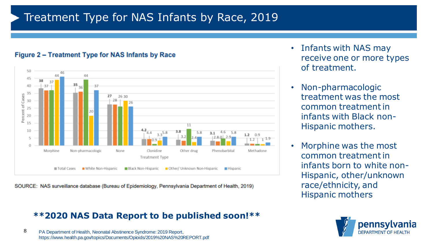### Treatment Type for NAS Infants by Race, 2019



#### Figure 2 - Treatment Type for NAS Infants by Race



### **\*\*2020 NAS Data Report to be published soon!\*\***

8 PA Department of Health, Neonatal Abstinence Syndrome: 2019 Report, https://www.health.pa.gov/topics/Documents/Opioids/2019%20NAS%20REPORT.pdf

- Infants with NAS may receive one or more types of treatment.
- Non-pharmacologic treatment was the most common treatment in infants with Black non-Hispanic mothers.
- Morphine was the most common treatment in infants born to white non-Hispanic, other/unknown race/ethnicity, and Hispanic mothers

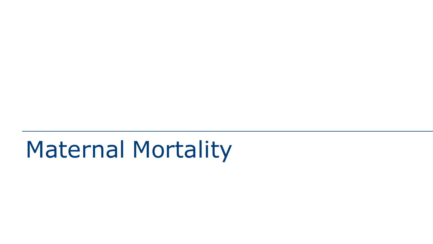# Maternal Mortality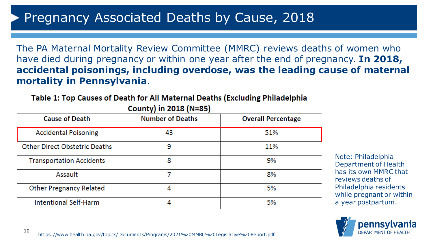### Pregnancy Associated Deaths by Cause, 2018

The PA Maternal Mortality Review Committee (MMRC) reviews deaths of women who have died during pregnancy or within one year after the end of pregnancy. **In 2018, accidental poisonings, including overdose, was the leading cause of maternal mortality in Pennsylvania**.

Table 1: Top Causes of Death for All Maternal Deaths (Excluding Philadelphia

| <b>Cause of Death</b>                | <b>Number of Deaths</b> | <b>Overall Percentage</b> |
|--------------------------------------|-------------------------|---------------------------|
| <b>Accidental Poisoning</b>          | 43                      | 51%                       |
| <b>Other Direct Obstetric Deaths</b> | 9                       | 11%                       |
| <b>Transportation Accidents</b>      | 8                       | 9%                        |
| Assault                              |                         | 8%                        |
| <b>Other Pregnancy Related</b>       |                         | 5%                        |
| Intentional Self-Harm                |                         | 5%                        |

#### County) in 2018 (N=85)

Note: Philadelphia Department of Health has its own MMRC that reviews deaths of Philadelphia residents while pregnant or within a year postpartum.

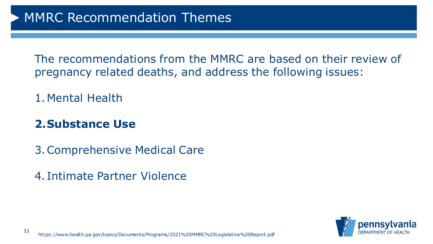The recommendations from the MMRC are based on their review of pregnancy related deaths, and address the following issues:

1.Mental Health

### **2.Substance Use**

3.Comprehensive Medical Care

4. Intimate Partner Violence

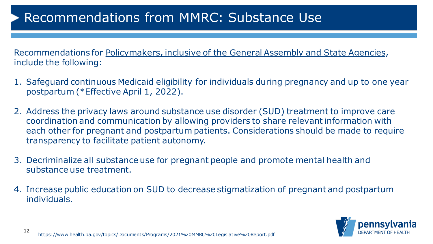## Recommendations from MMRC: Substance Use

Recommendations for Policymakers, inclusive of the General Assembly and State Agencies, include the following:

- 1. Safeguard continuous Medicaid eligibility for individuals during pregnancy and up to one year postpartum (\*Effective April 1, 2022).
- 2. Address the privacy laws around substance use disorder (SUD) treatment to improve care coordination and communication by allowing providers to share relevant information with each other for pregnant and postpartum patients. Considerations should be made to require transparency to facilitate patient autonomy.
- 3. Decriminalize all substance use for pregnant people and promote mental health and substance use treatment.
- 4. Increase public education on SUD to decrease stigmatization of pregnant and postpartum individuals.

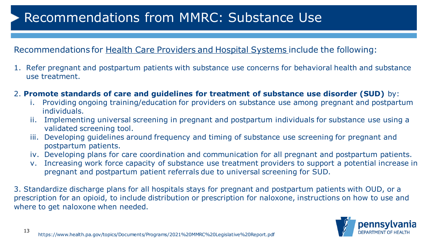## Recommendations from MMRC: Substance Use

### Recommendations for Health Care Providers and Hospital Systems include the following:

- 1. Refer pregnant and postpartum patients with substance use concerns for behavioral health and substance use treatment.
- 2. **Promote standards of care and guidelines for treatment of substance use disorder (SUD)** by:
	- i. Providing ongoing training/education for providers on substance use among pregnant and postpartum individuals.
	- ii. Implementing universal screening in pregnant and postpartum individuals for substance use using a validated screening tool.
	- iii. Developing guidelines around frequency and timing of substance use screening for pregnant and postpartum patients.
	- iv. Developing plans for care coordination and communication for all pregnant and postpartum patients.
	- v. Increasing work force capacity of substance use treatment providers to support a potential increase in pregnant and postpartum patient referrals due to universal screening for SUD.

3. Standardize discharge plans for all hospitals stays for pregnant and postpartum patients with OUD, or a prescription for an opioid, to include distribution or prescription for naloxone, instructions on how to use and where to get naloxone when needed.

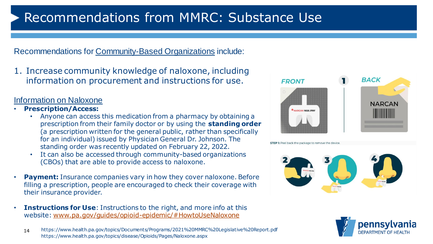## Recommendations from MMRC: Substance Use

Recommendations for Community-Based Organizations include:

1. Increase community knowledge of naloxone, including information on procurement and instructions for use.

#### Information on Naloxone

- **Prescription/Access:**
	- Anyone can access this medication from a pharmacy by obtaining a prescription from their family doctor or by using the **standing order**  (a prescription written for the general public, rather than specifically for an individual) issued by Physician General Dr. Johnson. The standing order was recently updated on February 22, 2022.
	- It can also be accessed through community-based organizations (CBOs) that are able to provide access to naloxone.
- **Payment:** Insurance companies vary in how they cover naloxone. Before filling a prescription, people are encouraged to check their coverage with their insurance provider.
- **Instructions for Use**: Instructions to the right, and more info at this website: [www.pa.gov/guides/opioid-epidemic/#HowtoUseNaloxone](http://www.pa.gov/guides/opioid-epidemic/#HowtoUseNaloxone)



**STEP 1:** Peel back the package to remove the device





<sup>14</sup> https://www.health.pa.gov/topics/disease/Opioids/Pages/Naloxone.aspx https://www.health.pa.gov/topics/Documents/Programs/2021%20MMRC%20Legislative%20Report.pdf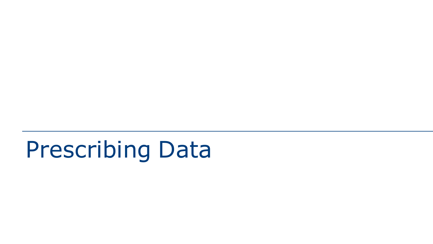# Prescribing Data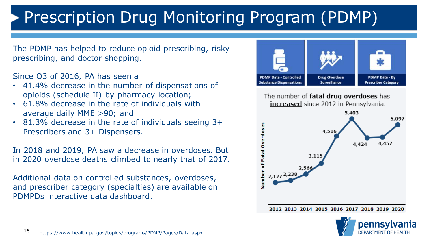# Prescription Drug Monitoring Program (PDMP)

The PDMP has helped to reduce opioid prescribing, risky prescribing, and doctor shopping.

Since Q3 of 2016, PA has seen a

- 41.4% decrease in the number of dispensations of opioids (schedule II) by pharmacy location;
- 61.8% decrease in the rate of individuals with average daily MME >90; and
- 81.3% decrease in the rate of individuals seeing 3+ Prescribers and 3+ Dispensers.

In 2018 and 2019, PA saw a decrease in overdoses. But in 2020 overdose deaths climbed to nearly that of 2017.

Additional data on controlled substances, overdoses, and prescriber category (specialties) are available on PDMPDs interactive data dashboard.



The number of **fatal drug overdoses** has increased since 2012 in Pennsylvania.



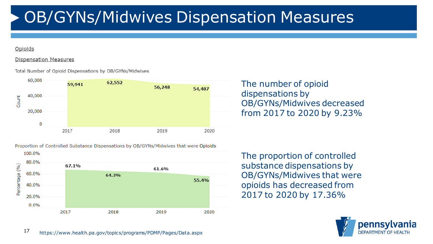# OB/GYNs/Midwives Dispensation Measures

#### Opioids

#### **Dispensation Measures**

Total Number of Opioid Dispensations by OB/GYNs/Midwives



Proportion of Controlled Substance Dispensations by OB/GYNs/Midwives that were Opioids



The number of opioid dispensations by OB/GYNs/Midwives decreased from 2017 to 2020 by 9.23%

The proportion of controlled substance dispensations by OB/GYNs/Midwives that were opioids has decreased from 2017 to 2020 by 17.36%

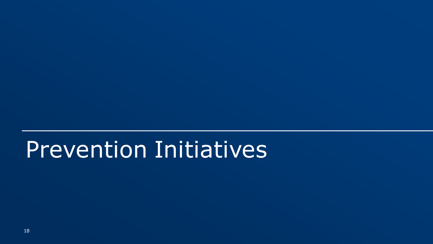# Prevention Initiatives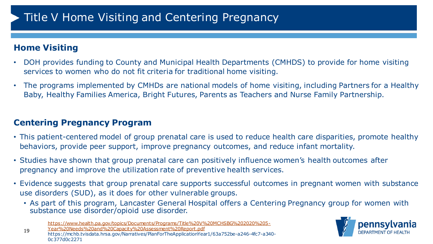### Title V Home Visiting and Centering Pregnancy

### **Home Visiting**

- DOH provides funding to County and Municipal Health Departments (CMHDS) to provide for home visiting services to women who do not fit criteria for traditional home visiting.
- The programs implemented by CMHDs are national models of home visiting, including Partners for a Healthy Baby, Healthy Families America, Bright Futures, Parents as Teachers and Nurse Family Partnership.

### **Centering Pregnancy Program**

- This patient-centered model of group prenatal care is used to reduce health care disparities, promote healthy behaviors, provide peer support, improve pregnancy outcomes, and reduce infant mortality.
- Studies have shown that group prenatal care can positively influence women's health outcomes after pregnancy and improve the utilization rate of preventive health services.
- Evidence suggests that group prenatal care supports successful outcomes in pregnant women with substance use disorders (SUD), as it does for other vulnerable groups.
	- As part of this program, Lancaster General Hospital offers a Centering Pregnancy group for women with substance use disorder/opioid use disorder.

19 [https://www.health.pa.gov/topics/Documents/Programs/Title%20V%20MCHSBG%202020%205-](https://www.health.pa.gov/topics/Documents/Programs/Title%20V%20MCHSBG%202020%205-Year%20Needs%20and%20Capacity%20Assessment%20Report.pdf) Year%20Needs%20and%20Capacity%20Assessment%20Report.pdf https://mchb.tvisdata.hrsa.gov/Narratives/PlanForTheApplicationYear1/63a752be-a246-4fc7-a340- 0c377d0c2271

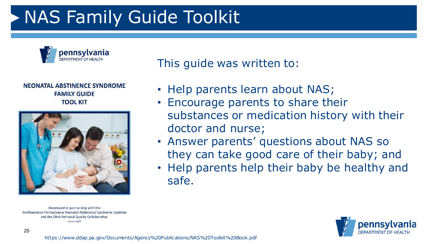# NAS Family Guide Toolkit



#### **NEONATAL ABSTINENCE SYNDROME FAMILY GUIDE TOOL KIT**



Developed in partnership with the Northwestern Pennsylvania Neonatal Abstinence Syndrome Coalition and the Ohio Perinatal Quality Collaborative January 2022

This guide was written to:

- Help parents learn about NAS;
- Encourage parents to share their substances or medication history with their doctor and nurse;
- Answer parents' questions about NAS so they can take good care of their baby; and
- Help parents help their baby be healthy and safe.

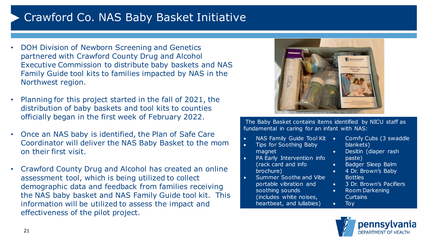### Crawford Co. NAS Baby Basket Initiative

- DOH Division of Newborn Screening and Genetics partnered with Crawford County Drug and Alcohol Executive Commission to distribute baby baskets and NAS Family Guide tool kits to families impacted by NAS in the Northwest region.
- Planning for this project started in the fall of 2021, the distribution of baby baskets and tool kits to counties officially began in the first week of February 2022.
- Once an NAS baby is identified, the Plan of Safe Care Coordinator will deliver the NAS Baby Basket to the mom on their first visit.
- Crawford County Drug and Alcohol has created an online assessment tool, which is being utilized to collect demographic data and feedback from families receiving the NAS baby basket and NAS Family Guide tool kit. This information will be utilized to assess the impact and effectiveness of the pilot project.



The Baby Basket contains items identified by NICU staff as fundamental in caring for an infant with NAS:

- NAS Family Guide Tool Kit Comfy Cubs (3 swaddle
- Tips for Soothing Baby magnet
- PA Early Intervention info (rack card and info brochure)
- Summer Soothe and Vibe portable vibration and soothing sounds (includes white noises, heartbeat, and lullabies)
- blankets)
- Desitin (diaper rash paste)
- Badger Sleep Balm
- 4 Dr. Brown's Baby Bottles
- 3 Dr. Brown's Pacifiers
- Room Darkening Curtains



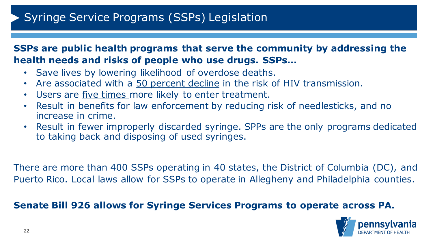### **SSPs are public health programs that serve the community by addressing the health needs and risks of people who use drugs. SSPs…**

- Save lives by lowering likelihood of overdose deaths.
- Are associated with a 50 percent decline in the risk of HIV transmission.
- Users are *five times* more likely to enter treatment.
- Result in benefits for law enforcement by reducing risk of needlesticks, and no increase in crime.
- Result in fewer improperly discarded syringe. SPPs are the only programs dedicated to taking back and disposing of used syringes.

There are more than 400 SSPs operating in 40 states, the District of Columbia (DC), and Puerto Rico. Local laws allow for SSPs to operate in Allegheny and Philadelphia counties.

### **Senate Bill 926 allows for Syringe Services Programs to operate across PA.**

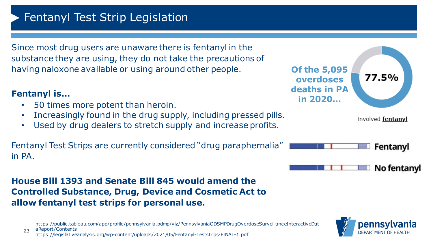### Fentanyl Test Strip Legislation

Since most drug users are unaware there is fentanyl in the substance they are using, they do not take the precautions of having naloxone available or using around other people.

### **Fentanyl is…**

- 50 times more potent than heroin.
- Increasingly found in the drug supply, including pressed pills.
- Used by drug dealers to stretch supply and increase profits.

Fentanyl Test Strips are currently considered "drug paraphernalia" in PA.

### **House Bill 1393 and Senate Bill 845 would amend the Controlled Substance, Drug, Device and Cosmetic Act to allow fentanyl test strips for personal use.**

https://public.tableau.com/app/profile/pennsylvania.pdmp/viz/PennsylvaniaODSMPDrugOverdoseSurveillanceInteractiveDat



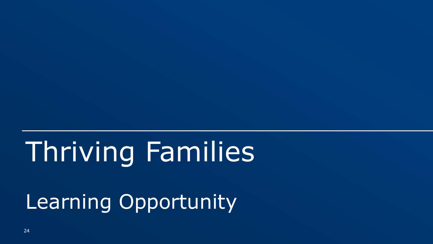# Thriving Families

Learning Opportunity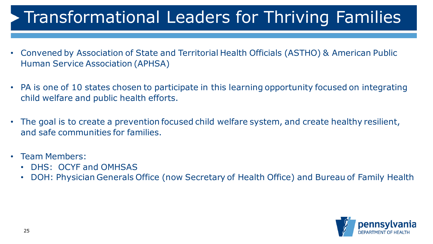# Transformational Leaders for Thriving Families

- Convened by Association of State and Territorial Health Officials (ASTHO) & American Public Human Service Association (APHSA)
- PA is one of 10 states chosen to participate in this learning opportunity focused on integrating child welfare and public health efforts.
- The goal is to create a prevention focused child welfare system, and create healthy resilient, and safe communities for families.
- Team Members:
	- DHS: OCYF and OMHSAS
	- DOH: Physician Generals Office (now Secretary of Health Office) and Bureau of Family Health

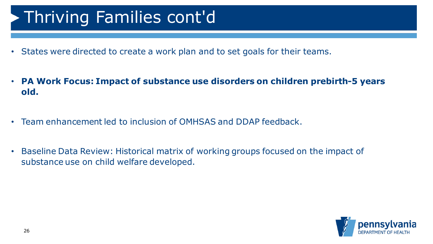# Thriving Families cont'd

- States were directed to create a work plan and to set goals for their teams.
- **PA Work Focus: Impact of substance use disorders on children prebirth-5 years old.**
- Team enhancement led to inclusion of OMHSAS and DDAP feedback.
- Baseline Data Review: Historical matrix of working groups focused on the impact of substance use on child welfare developed.